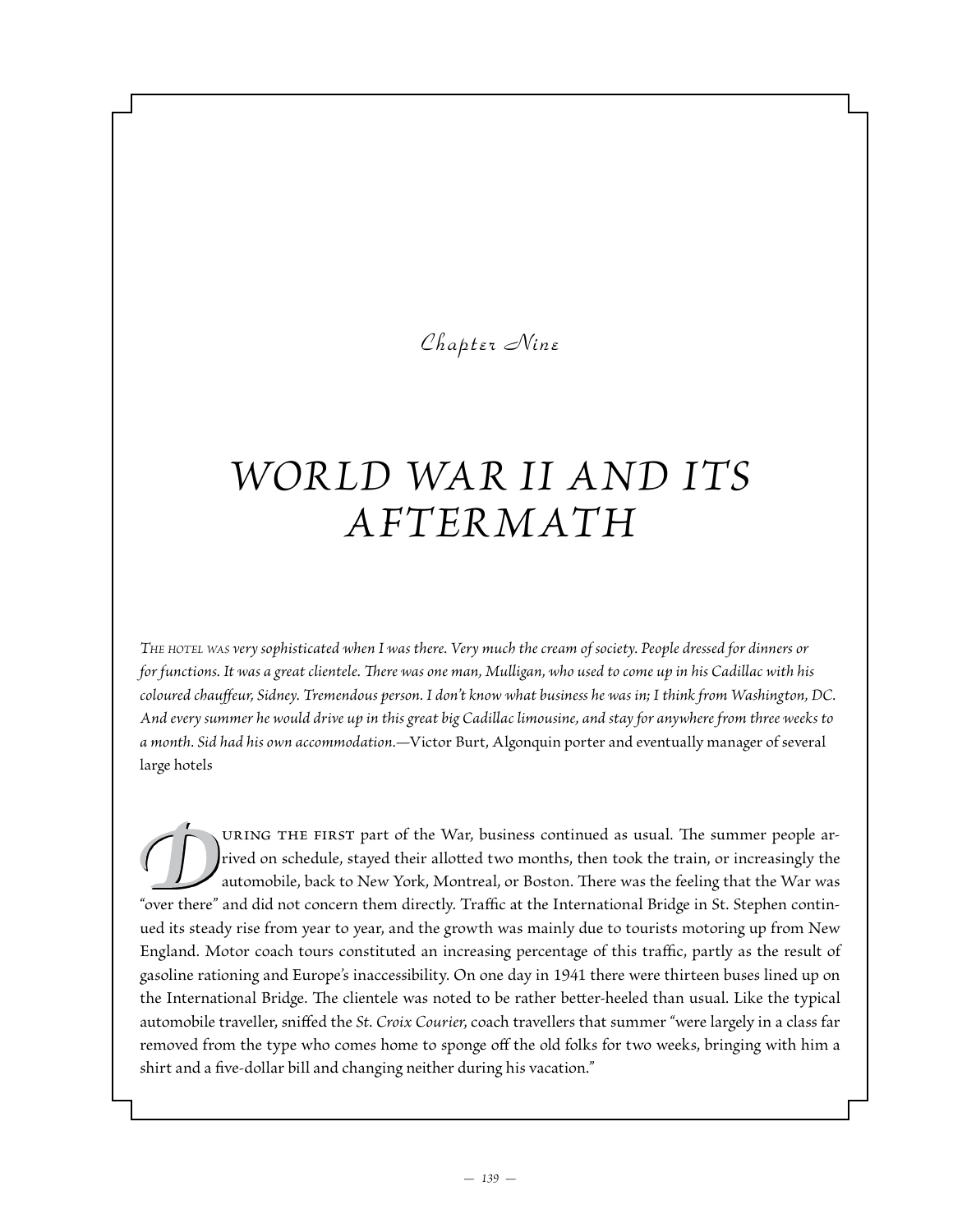# *Chapter Nine*

# *Wor ld War II and Its Aftermath*

*The hotel was very sophisticated when I was there. Very much the cream of society. People dressed for dinners or for functions. It was a great clientele. There was one man, Mulligan, who used to come up in his Cadillac with his coloured chauffeur, Sidney. Tremendous person. I don't know what business he was in; I think from Washington, DC. And every summer he would drive up in this great big Cadillac limousine, and stay for anywhere from three weeks to a month. Sid had his own accommodation.—*Victor Burt, Algonquin porter and eventually manager of several large hotels

uring the first part of the War, business continued as usual. The summer people arrived on schedule, stayed their allotted two months, then took the train, or increasingly the automobile, back to New York, Montreal, or Boston. There was the feeling that the War was "over there" and did not concern them directly. Traffic at the International Bridge in St. Stephen continued its steady rise from year to year, and the growth was mainly due to tourists motoring up from New England. Motor coach tours constituted an increasing percentage of this traffic, partly as the result of gasoline rationing and Europe's inaccessibility. On one day in 1941 there were thirteen buses lined up on the International Bridge. The clientele was noted to be rather better-heeled than usual. Like the typical automobile traveller, sniffed the *St. Croix Courier*, coach travellers that summer "were largely in a class far removed from the type who comes home to sponge off the old folks for two weeks, bringing with him a shirt and a five-dollar bill and changing neither during his vacation."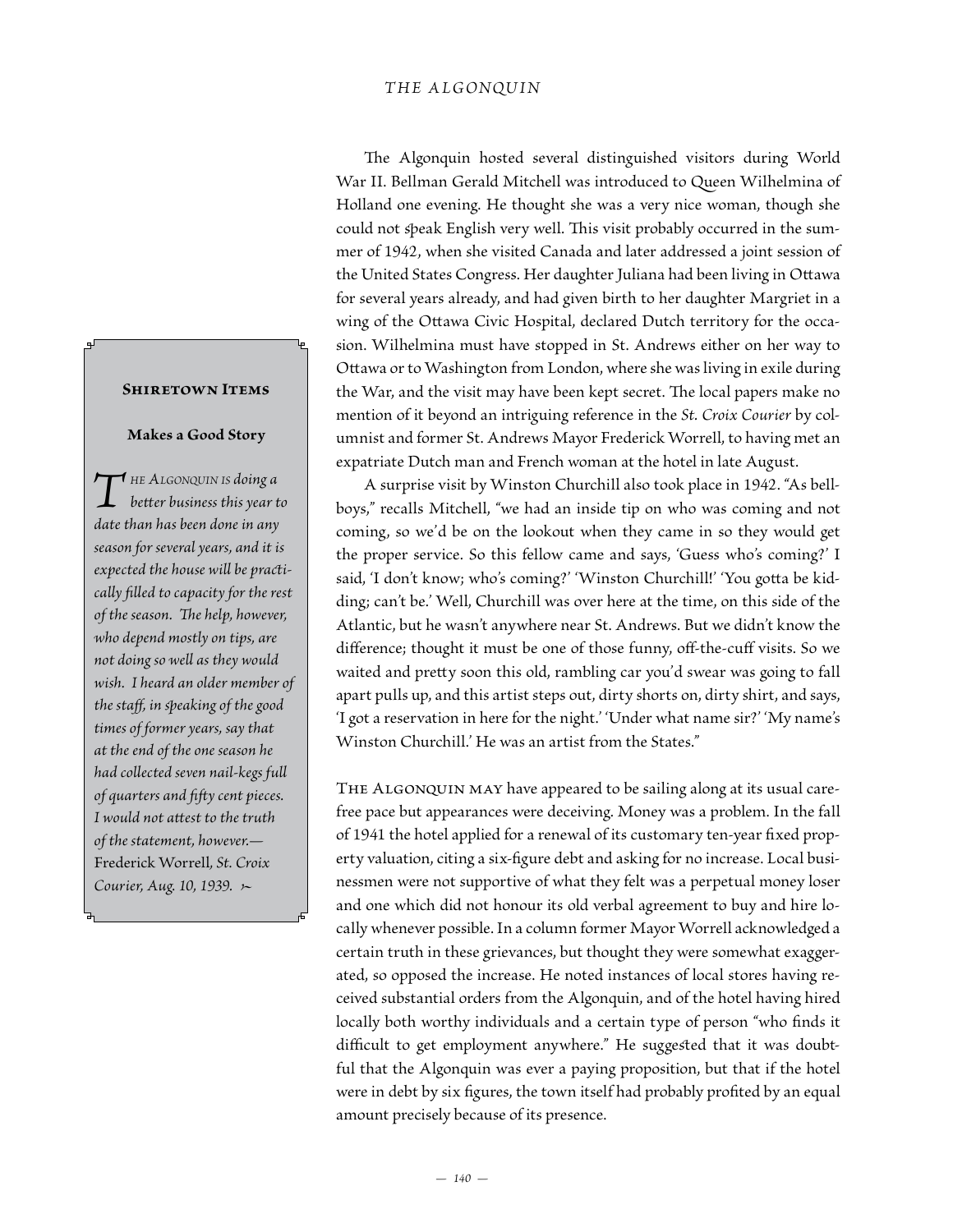### *THE ALGONQUIN*

The Algonquin hosted several distinguished visitors during World War II. Bellman Gerald Mitchell was introduced to Queen Wilhelmina of Holland one evening. He thought she was a very nice woman, though she could not speak English very well. This visit probably occurred in the summer of 1942, when she visited Canada and later addressed a joint session of the United States Congress. Her daughter Juliana had been living in Ottawa for several years already, and had given birth to her daughter Margriet in a wing of the Ottawa Civic Hospital, declared Dutch territory for the occasion. Wilhelmina must have stopped in St. Andrews either on her way to Ottawa or to Washington from London, where she was living in exile during the War, and the visit may have been kept secret. The local papers make no mention of it beyond an intriguing reference in the *St. Croix Courier* by columnist and former St. Andrews Mayor Frederick Worrell, to having met an expatriate Dutch man and French woman at the hotel in late August.

A surprise visit by Winston Churchill also took place in 1942. "As bellboys," recalls Mitchell, "we had an inside tip on who was coming and not coming, so we'd be on the lookout when they came in so they would get the proper service. So this fellow came and says, 'Guess who's coming?' I said, 'I don't know; who's coming?' 'Winston Churchill!' 'You gotta be kidding; can't be.' Well, Churchill was over here at the time, on this side of the Atlantic, but he wasn't anywhere near St. Andrews. But we didn't know the difference; thought it must be one of those funny, off-the-cuff visits. So we waited and pretty soon this old, rambling car you'd swear was going to fall apart pulls up, and this artist steps out, dirty shorts on, dirty shirt, and says, 'I got a reservation in here for the night.' 'Under what name sir?' 'My name's Winston Churchill.' He was an artist from the States."

THE ALGONQUIN MAY have appeared to be sailing along at its usual carefree pace but appearances were deceiving. Money was a problem. In the fall of 1941 the hotel applied for a renewal of its customary ten-year fixed property valuation, citing a six-figure debt and asking for no increase. Local businessmen were not supportive of what they felt was a perpetual money loser and one which did not honour its old verbal agreement to buy and hire locally whenever possible. In a column former Mayor Worrell acknowledged a certain truth in these grievances, but thought they were somewhat exaggerated, so opposed the increase. He noted instances of local stores having received substantial orders from the Algonquin, and of the hotel having hired locally both worthy individuals and a certain type of person "who finds it difficult to get employment anywhere." He suggested that it was doubtful that the Algonquin was ever a paying proposition, but that if the hotel were in debt by six figures, the town itself had probably profited by an equal amount precisely because of its presence.

#### **Shiretown Items**

#### **Makes a Good Story**

*T* HE ALGONQUIN IS doing a<br>better business this year t<br>date than has been done in any *better business this year to date than has been done in any season for several years, and it is expected the house will be practically filled to capacity for the rest of the season. The help, however, who depend mostly on tips, are not doing so well as they would wish. I heard an older member of the staff, in speaking of the good times of former years, say that at the end of the one season he had collected seven nail-kegs full of quarters and fifty cent pieces. I would not attest to the truth of the statement, however.—* Frederick Worrell*, St. Croix Courier, Aug. 10, 1939. •*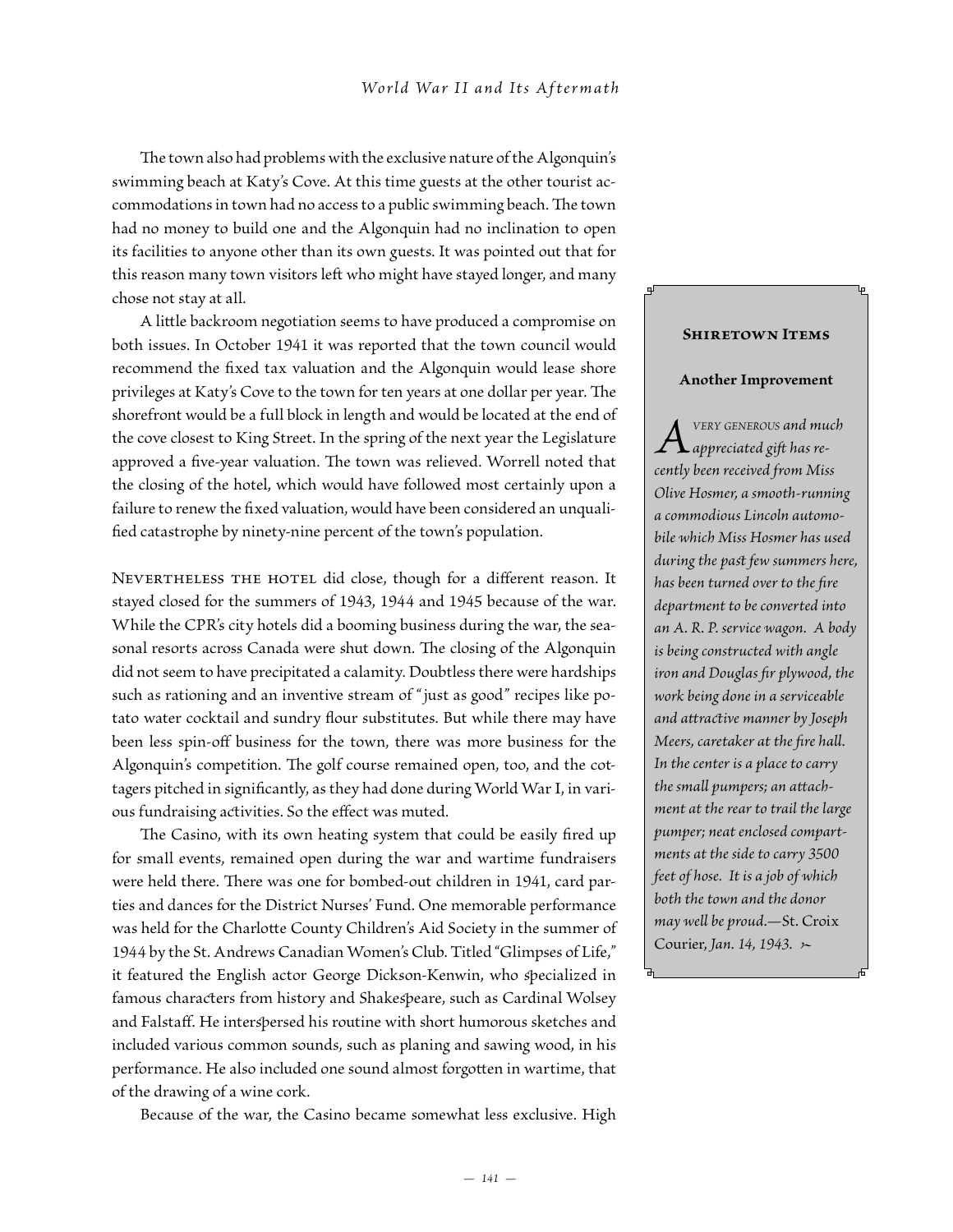The town also had problems with the exclusive nature of the Algonquin's swimming beach at Katy's Cove. At this time guests at the other tourist accommodations in town had no access to a public swimming beach. The town had no money to build one and the Algonquin had no inclination to open its facilities to anyone other than its own guests. It was pointed out that for this reason many town visitors left who might have stayed longer, and many chose not stay at all.

A little backroom negotiation seems to have produced a compromise on both issues. In October 1941 it was reported that the town council would recommend the fixed tax valuation and the Algonquin would lease shore privileges at Katy's Cove to the town for ten years at one dollar per year. The shorefront would be a full block in length and would be located at the end of the cove closest to King Street. In the spring of the next year the Legislature approved a five-year valuation. The town was relieved. Worrell noted that the closing of the hotel, which would have followed most certainly upon a failure to renew the fixed valuation, would have been considered an unqualified catastrophe by ninety-nine percent of the town's population.

NEVERTHELESS THE HOTEL did close, though for a different reason. It stayed closed for the summers of 1943, 1944 and 1945 because of the war. While the CPR's city hotels did a booming business during the war, the seasonal resorts across Canada were shut down. The closing of the Algonquin did not seem to have precipitated a calamity. Doubtless there were hardships such as rationing and an inventive stream of " just as good" recipes like potato water cocktail and sundry flour substitutes. But while there may have been less spin-off business for the town, there was more business for the Algonquin's competition. The golf course remained open, too, and the cottagers pitched in significantly, as they had done during World War I, in various fundraising activities. So the effect was muted.

The Casino, with its own heating system that could be easily fired up for small events, remained open during the war and wartime fundraisers were held there. There was one for bombed-out children in 1941, card parties and dances for the District Nurses' Fund. One memorable performance was held for the Charlotte County Children's Aid Society in the summer of 1944 by the St. Andrews Canadian Women's Club. Titled "Glimpses of Life," it featured the English actor George Dickson-Kenwin, who specialized in famous characters from history and Shakespeare, such as Cardinal Wolsey and Falstaff. He interspersed his routine with short humorous sketches and included various common sounds, such as planing and sawing wood, in his performance. He also included one sound almost forgotten in wartime, that of the drawing of a wine cork.

Because of the war, the Casino became somewhat less exclusive. High

#### **Shiretown Items**

#### **Another Improvement**

*Avery generous and much cently been received from Miss appreciated gift has re-Olive Hosmer, a smooth-running a commodious Lincoln automobile which Miss Hosmer has used during the past few summers here, has been turned over to the fire department to be converted into an A. R. P. service wagon. A body is being constructed with angle iron and Douglas fir plywood, the work being done in a serviceable and attractive manner by Joseph Meers, caretaker at the fire hall. In the center is a place to carry the small pumpers; an attachment at the rear to trail the large pumper; neat enclosed compartments at the side to carry 3500 feet of hose. It is a job of which both the town and the donor may well be proud.—*St. Croix Courier, *Jan. 14, 1943. •*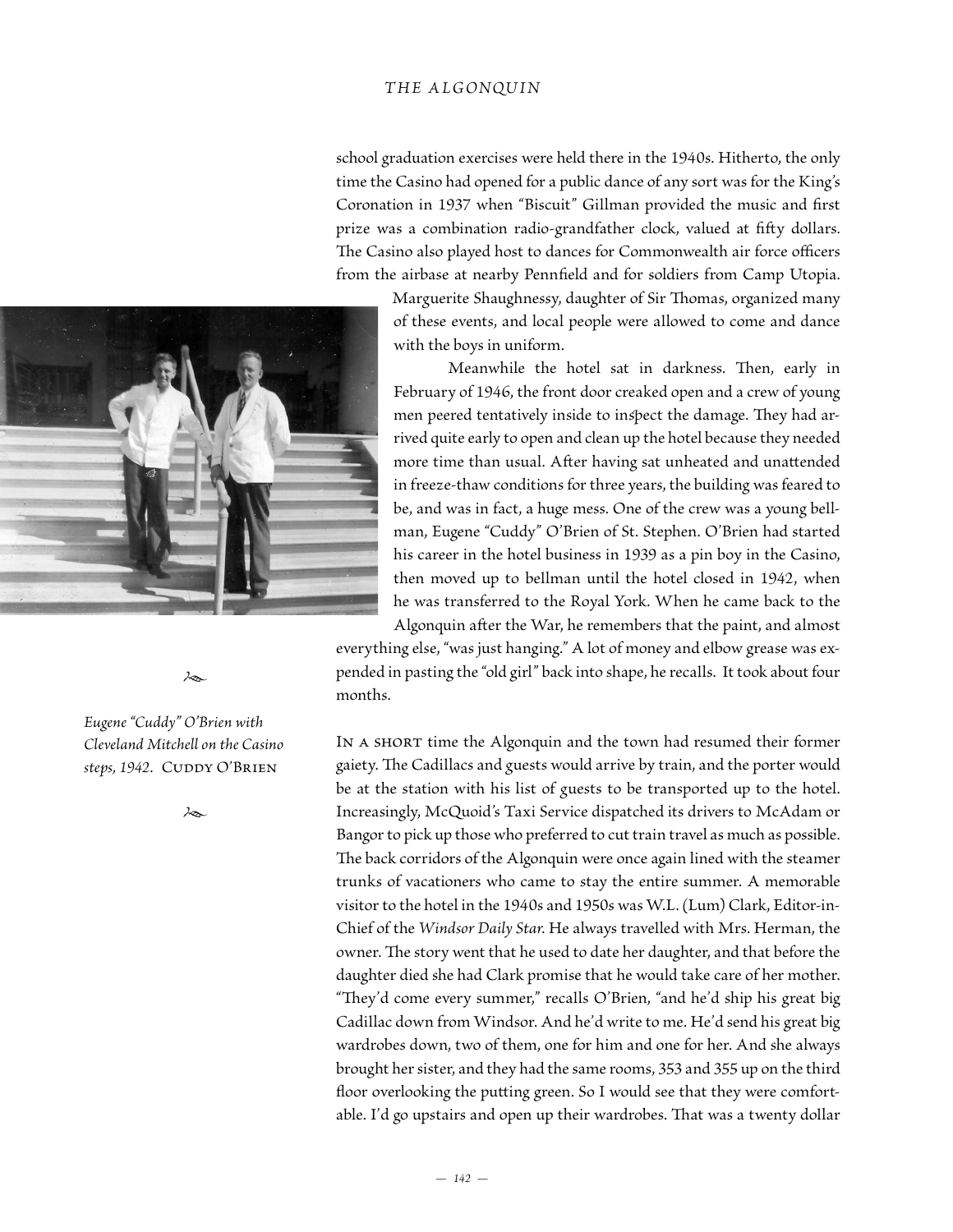## *THE ALGONQUIN*

school graduation exercises were held there in the 1940s. Hitherto, the only time the Casino had opened for a public dance of any sort was for the King's Coronation in 1937 when "Biscuit" Gillman provided the music and first prize was a combination radio-grandfather clock, valued at fifty dollars. The Casino also played host to dances for Commonwealth air force officers from the airbase at nearby Pennfield and for soldiers from Camp Utopia.

> Marguerite Shaughnessy, daughter of Sir Thomas, organized many of these events, and local people were allowed to come and dance with the boys in uniform.

> Meanwhile the hotel sat in darkness. Then, early in February of 1946, the front door creaked open and a crew of young men peered tentatively inside to inspect the damage. They had arrived quite early to open and clean up the hotel because they needed more time than usual. After having sat unheated and unattended in freeze-thaw conditions for three years, the building was feared to be, and was in fact, a huge mess. One of the crew was a young bellman, Eugene "Cuddy" O'Brien of St. Stephen. O'Brien had started his career in the hotel business in 1939 as a pin boy in the Casino, then moved up to bellman until the hotel closed in 1942, when he was transferred to the Royal York. When he came back to the

Algonquin after the War, he remembers that the paint, and almost everything else, "was just hanging." A lot of money and elbow grease was expended in pasting the "old girl" back into shape, he recalls. It took about four months.

IN A SHORT time the Algonquin and the town had resumed their former gaiety. The Cadillacs and guests would arrive by train, and the porter would be at the station with his list of guests to be transported up to the hotel. Increasingly, McQuoid's Taxi Service dispatched its drivers to McAdam or Bangor to pick up those who preferred to cut train travel as much as possible. The back corridors of the Algonquin were once again lined with the steamer trunks of vacationers who came to stay the entire summer. A memorable visitor to the hotel in the 1940s and 1950s was W.L. (Lum) Clark, Editor-in-Chief of the *Windsor Daily Star*. He always travelled with Mrs. Herman, the owner. The story went that he used to date her daughter, and that before the daughter died she had Clark promise that he would take care of her mother. "They'd come every summer," recalls O'Brien, "and he'd ship his great big Cadillac down from Windsor. And he'd write to me. He'd send his great big wardrobes down, two of them, one for him and one for her. And she always brought her sister, and they had the same rooms, 353 and 355 up on the third floor overlooking the putting green. So I would see that they were comfortable. I'd go upstairs and open up their wardrobes. That was a twenty dollar



*Eugene "Cuddy" O'Brien with Cleveland Mitchell on the Casino*  steps, 1942. CUDDY O'BRIEN

*•*